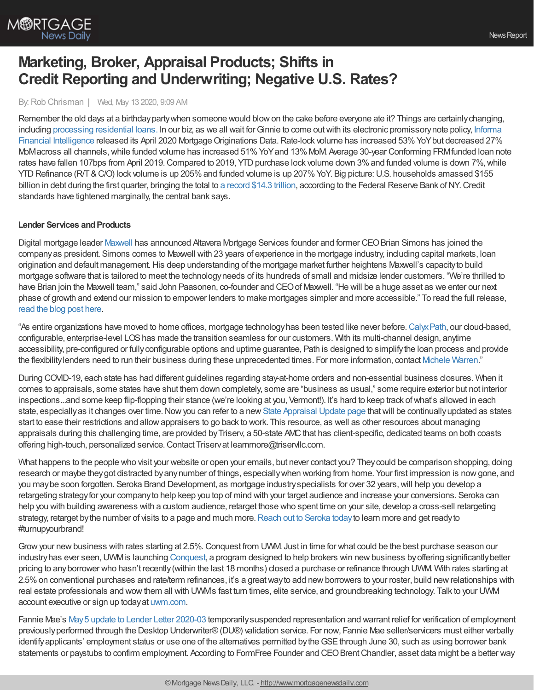

# **Marketing, Broker, Appraisal Products; Shifts in Credit Reporting and Underwriting; Negative U.S. Rates?**

#### By: Rob Chrisman | Wed, May 13 2020, 9:09 AM

Remember the old days at a birthdaypartywhen someone would blowon the cake before everyone ate it? Things are certainlychanging, including [processing](https://www.stratmorgroup.com/reducing-friction/) residential loans. In our biz, as we all wait for Ginnie to come out with its electronic promissory note policy, Informa Financial Intelligence released its April 2020 Mortgage Originations Data. Rate-lock volume has increased 53% YoY but decreased 27% MoMacross all channels, while funded volume has increased 51% YoY and 13% MoM. Average 30-year Conforming FRMfunded loan note rates have fallen 107bps from April 2019. Compared to 2019, YTD purchase lock volume down 3% and funded volume is down 7%, while YTD Refinance (R/T & C/O) lock volume is up 205% and funded volume is up 207% YoY. Big picture: U.S. households amassed \$155 billion in debt during the first quarter, bringing the total to a [record](https://www.reuters.com/article/us-usa-fed-debt/u-s-household-debt-reached-14-3-trillion-credit-standards-tightened-in-first-quarter-idUSKBN22H1ZE) \$14.3 trillion, according to the Federal Reserve Bank of NY. Credit standards have tightened marginally, the central bank says.

### **Lender Services and Products**

Digital mortgage leader [Maxwell](https://himaxwell.com/?utm_source=RC_CTA&utm_medium=RC05.11.20) has announced Altavera Mortgage Services founder and former CEO Brian Simons has joined the companyas president. Simons comes to Maxwell with 23 years of experience in the mortgage industry, including capital markets, loan origination and default management. His deep understanding of the mortgage market further heightens Maxwell's capacity to build mortgage software that is tailored to meet the technologyneeds of its hundreds of small and midsize lender customers. "We're thrilled to have Brian join the Maxwell team," said John Paasonen, co-founder and CEO of Maxwell. "He will be a huge asset as we enter our next phase of growth and extend our mission to empower lenders to make mortgages simpler and more accessible." To read the full release, [read](https://himaxwell.com/blog/altavera-founder-brian-simons-joins-maxwell-executive-team/) the blog post here.

"As entire organizations have moved to home offices, mortgage technologyhas been tested like never before.[CalyxPath,](https://info.calyxsoftware.com/lp/web-based-mortgage-technology?utm_source=rob-chrisman&utm_medium=email&utm_campaign=rob-chrisman-txt-ad) our cloud-based, configurable, enterprise-level LOShas made the transition seamless for our customers. With its multi-channel design, anytime accessibility, pre-configured or fullyconfigurable options and uptime guarantee, Path is designed to simplifythe loan process and provide the flexibilitylenders need to run their business during these unprecedented times. For more information, contact [Michele](https://outlook.office.com/mail/compose/mwarren@calyxsoftware.com) Warren."

During COVID-19, each state has had different guidelines regarding stay-at-home orders and non-essential business closures. When it comes to appraisals, some states have shut them down completely, some are "business as usual," some require exterior but not interior inspections...and some keep flip-flopping their stance (we're looking at you, Vermont!). It's hard to keep track ofwhat's allowed in each state, especially as it changes over time. Now you can refer to a new State [Appraisal](https://triservllc.com/states?utm_source=Newsletter&utm_medium=Email&utm_campaign=Chrisman&utm_content=states) Update page that will be continually updated as states start to ease their restrictions and allowappraisers to go back to work. This resource, as well as other resources about managing appraisals during this challenging time, are provided by Triserv, a 50-state AMC that has client-specific, dedicated teams on both coasts offering high-touch, personalized service. Contact Triservat learnmore@triservllc.com.

What happens to the people who visit your website or open your emails, but never contact you? Theycould be comparison shopping, doing research or maybe theygot distracted byanynumber of things, especiallywhen working from home. Your first impression is nowgone, and you may be soon forgotten. Seroka Brand Development, as mortgage industry specialists for over 32 years, will help you develop a retargeting strategyfor your companyto help keep you top of mind with your target audience and increase your conversions. Seroka can help you with building awareness with a custom audience, retarget those who spent time on your site, develop a cross-sell retargeting strategy, retarget by the number of visits to a page and much more. Reach out to [Seroka](https://t.sidekickopen09.com/s1t/c/5/f18dQhb0S7lC8dDMPbW2n0x6l2B9nMJW7t5XYg3M2y_-W5wvCJs3MhRpCW2zq5cM56dDd1f6qp9ZF02?te=W3R5hFj4cm2zwW4cJ2Vp3XTW-QW43T4NS43TDjyw3FdrVV48Z2&si=6667193966133248&pi=630bf104-1cdb-4194-a139-461f4b5a25a7) today to learn more and get ready to #turnupyourbrand!

Grow your new business with rates starting at 2.5%. Conquest from UWM. Just in time for what could be the best purchase season our industry has ever seen, UWM is launching [Conquest,](https://www.uwm.com/price-a-loan/exclusives/conquest) a program designed to help brokers win new business by offering significantly better pricing to anyborrower who hasn't recently(within the last 18 months) closed a purchase or refinance through UWM. With rates starting at 2.5% on conventional purchases and rate/term refinances, it's a great way to add new borrowers to your roster, build new relationships with real estate professionals and wowthem all with UWM's fast turn times, elite service, and groundbreaking technology. Talk to your UWM account executive or sign up todayat [uwm.com](https://outlook.office.com/mail/deeplink/compose/uwm.com).

Fannie Mae's May 5 update to Lender Letter [2020-03](https://singlefamily.fanniemae.com/media/22316/display) temporarily suspended representation and warrant relief for verification of employment previouslyperformed through the Desktop Underwriter®(DU®) validation service. For now, Fannie Mae seller/servicers must either verbally identify applicants' employment status or use one of the alternatives permitted by the GSE through June 30, such as using borrower bank statements or paystubs to confirm employment. According to FormFree Founder and CEO Brent Chandler, asset data might be a better way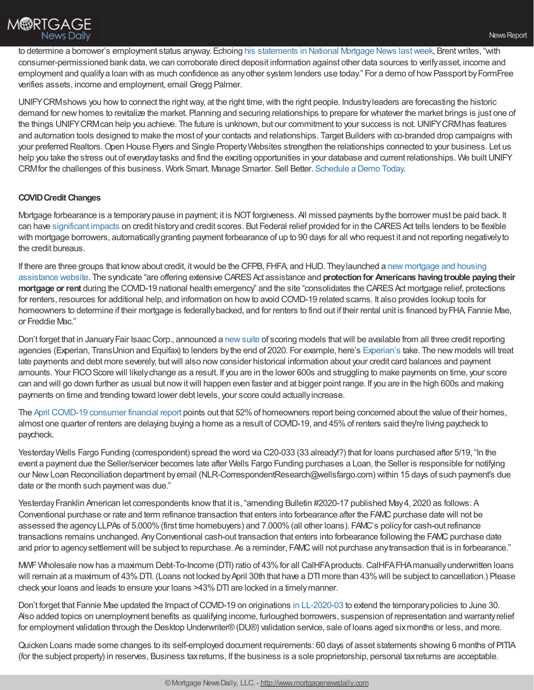

to determine a borrower's employment status anyway. Echoing his [statements](https://www.formfree.com/2020/05/06/fannie-mae-temporarily-drops-employment-rep-and-warrant-relief-national-mortgage-news/) in National Mortgage News last week, Brent writes, "with consumer-permissioned bank data,we can corroborate direct deposit information against other data sources to verifyasset, income and employment and qualify a loan with as much confidence as any other system lenders use today." For a demo of how Passport by FormFree verifies assets, income and employment, email Gregg Palmer.

UNIFY CRM shows you how to connect the right way, at the right time, with the right people. Industry leaders are forecasting the historic demand for newhomes to revitalize the market. Planning and securing relationships to prepare for whatever the market brings is just one of the things UNIFYCRMcan help you achieve. The future is unknown, but our commitment to your success is not.UNIFYCRMhas features and automation tools designed to make the most of your contacts and relationships. Target Builders with co-branded drop campaigns with your preferred Realtors.Open House Flyers and Single PropertyWebsites strengthen the relationships connected to your business. Let us help you take the stress out of everyday tasks and find the exciting opportunities in your database and current relationships. We built UNIFY CRMfor the challenges of this business. Work Smart. Manage Smarter. Sell Better. [Schedule](http://unifycrm.com/contact/) a Demo Today.

## **COVIDCredit Changes**

Mortgage forbearance is a temporary pause in payment; it is NOT forgiveness. All missed payments by the borrower must be paid back. It can have [significant](https://www.experian.com/blogs/ask-experian/how-forbearance-affects-credit/) impacts on credit historyand credit scores. But Federal relief provided for in the CARESAct tells lenders to be flexible with mortgage borrowers, automaticallygranting payment forbearance of up to 90 days for all who request it and not reporting negativelyto the credit bureaus.

If there are three groups that knowabout credit, itwould be the CFPB, FHFA, and HUD. [Theylaunched](https://www.cfpb.gov/housing) a new mortgage and housing assistance website. The syndicate "are offering extensive CARES Act assistance and **protection for Americans having trouble paying their mortgage** or rent during the COVID-19 national health emergency" and the site "consolidates the CARES Act mortgage relief, protections for renters, resources for additional help, and information on howto avoid COVID-19 related scams. It also provides lookup tools for homeowners to determine if their mortgage is federally backed, and for renters to find out if their rental unit is financed by FHA, Fannie Mae, or Freddie Mac."

Don't forget that in January Fair Isaac Corp., announced a new suite of scoring models that will be available from all three credit reporting agencies (Experian, TransUnion and Equifax) to lenders bythe end of 2020. For example, here's [Experian's](https://www.experian.com/blogs/ask-experian/fico-10-score-changes-what-it-means-to-your-credit/) take. The new models will treat late payments and debt more severely, butwill also nowconsider historical information about your credit card balances and payment amounts. Your FICO Score will likely change as a result. If you are in the lower 600s and struggling to make payments on time, your score can and will go down further as usual but now it will happen even faster and at bigger point range. If you are in the high 600s and making payments on time and trending toward lower debt levels, your score could actuallyincrease.

The April COVID-19 [consumer](https://listwithclever.com/real-estate-blog/covid-finances-april/) financial report points out that 52%of homeowners report being concerned about the value of their homes, almost one quarter of renters are delaying buying a home as a result ofCOVID-19, and 45%of renters said they're living paycheck to paycheck.

YesterdayWells Fargo Funding (correspondent) spread the word via C20-033 (33 already!?) that for loans purchased after 5/19, "In the event a payment due the Seller/servicer becomes late after Wells Fargo Funding purchases a Loan, the Seller is responsible for notifying our NewLoan Reconciliation department byemail (NLR-CorrespondentResearch@wellsfargo.com) within 15 days of such payment's due date or the month such payment was due."

Yesterday Franklin American let correspondents know that it is, "amending Bulletin #2020-17 published May 4, 2020 as follows: A Conventional purchase or rate and term refinance transaction that enters into forbearance after the FAMC purchase date will not be assessed the agencyLLPAs of 5.000%(first time homebuyers) and 7.000%(all other loans). FAMC's policyfor cash-out refinance transactions remains unchanged. Any Conventional cash-out transaction that enters into forbearance following the FAMC purchase date and prior to agency settlement will be subject to repurchase. As a reminder, FAMC will not purchase any transaction that is in forbearance."

MWF Wholesale now has a maximum Debt-To-Income (DTI) ratio of 43% for all CalHFA products. CalHFA FHA manually underwritten loans will remain at a maximum of 43% DTI. (Loans not locked by April 30th that have a DTI more than 43% will be subject to cancellation.) Please check your loans and leads to ensure your loans >43%DTI are locked in a timelymanner.

Don't forget that Fannie Mae updated the Impact of COVID-19 on originations in [LL-2020-03](https://singlefamily.fanniemae.com/media/22316/display) to extend the temporary policies to June 30. Also added topics on unemployment benefits as qualifying income, furloughed borrowers, suspension of representation and warrantyrelief for employment validation through the Desktop Underwriter®(DU®) validation service, sale of loans aged sixmonths or less, and more.

Quicken Loans made some changes to its self-employed document requirements: 60 days of asset statements showing 6 months of PITIA (for the subject property) in reserves, Business taxreturns, If the business is a sole proprietorship, personal taxreturns are acceptable.